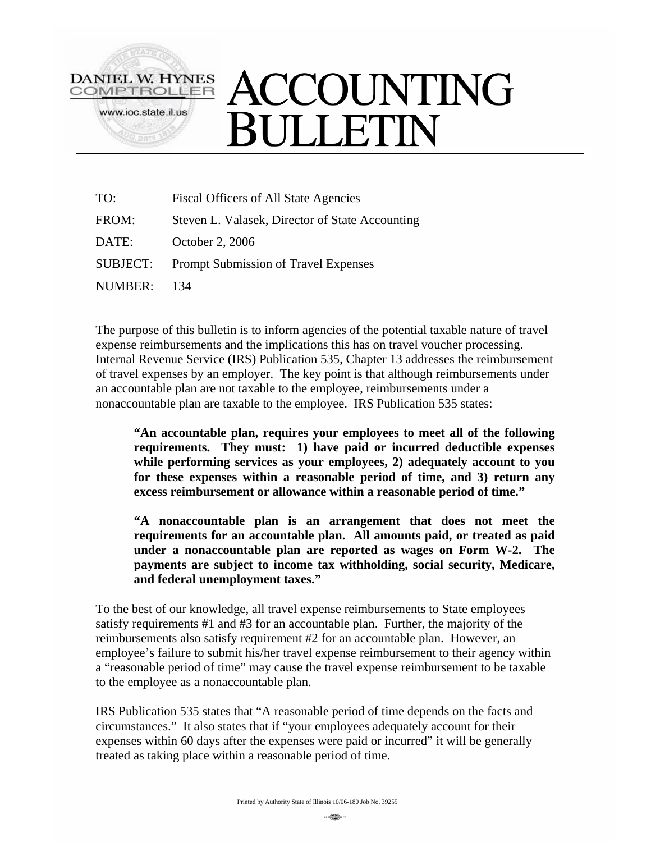

## ACCOUNTING **SULLETIN**

| TO:            | Fiscal Officers of All State Agencies           |
|----------------|-------------------------------------------------|
| FROM:          | Steven L. Valasek, Director of State Accounting |
| DATE:          | October 2, 2006                                 |
| SUBJECT:       | Prompt Submission of Travel Expenses            |
| <b>NUMBER:</b> | 134                                             |

The purpose of this bulletin is to inform agencies of the potential taxable nature of travel expense reimbursements and the implications this has on travel voucher processing. Internal Revenue Service (IRS) Publication 535, Chapter 13 addresses the reimbursement of travel expenses by an employer. The key point is that although reimbursements under an accountable plan are not taxable to the employee, reimbursements under a nonaccountable plan are taxable to the employee. IRS Publication 535 states:

**"An accountable plan, requires your employees to meet all of the following requirements. They must: 1) have paid or incurred deductible expenses while performing services as your employees, 2) adequately account to you for these expenses within a reasonable period of time, and 3) return any excess reimbursement or allowance within a reasonable period of time."** 

**"A nonaccountable plan is an arrangement that does not meet the requirements for an accountable plan. All amounts paid, or treated as paid under a nonaccountable plan are reported as wages on Form W-2. The payments are subject to income tax withholding, social security, Medicare, and federal unemployment taxes."** 

To the best of our knowledge, all travel expense reimbursements to State employees satisfy requirements #1 and #3 for an accountable plan. Further, the majority of the reimbursements also satisfy requirement #2 for an accountable plan. However, an employee's failure to submit his/her travel expense reimbursement to their agency within a "reasonable period of time" may cause the travel expense reimbursement to be taxable to the employee as a nonaccountable plan.

IRS Publication 535 states that "A reasonable period of time depends on the facts and circumstances." It also states that if "your employees adequately account for their expenses within 60 days after the expenses were paid or incurred" it will be generally treated as taking place within a reasonable period of time.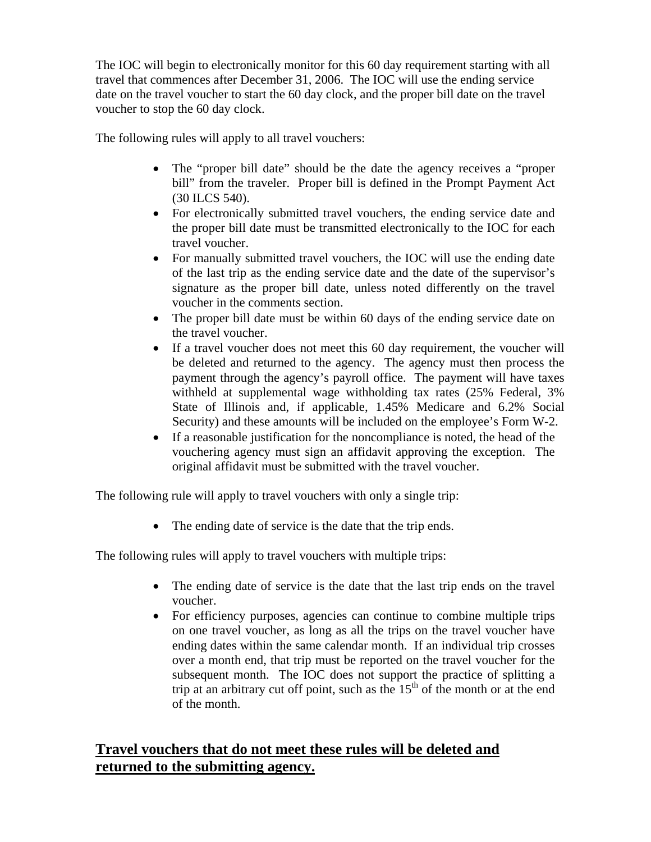The IOC will begin to electronically monitor for this 60 day requirement starting with all travel that commences after December 31, 2006. The IOC will use the ending service date on the travel voucher to start the 60 day clock, and the proper bill date on the travel voucher to stop the 60 day clock.

The following rules will apply to all travel vouchers:

- The "proper bill date" should be the date the agency receives a "proper bill" from the traveler. Proper bill is defined in the Prompt Payment Act (30 ILCS 540).
- For electronically submitted travel vouchers, the ending service date and the proper bill date must be transmitted electronically to the IOC for each travel voucher.
- For manually submitted travel vouchers, the IOC will use the ending date of the last trip as the ending service date and the date of the supervisor's signature as the proper bill date, unless noted differently on the travel voucher in the comments section.
- The proper bill date must be within 60 days of the ending service date on the travel voucher.
- If a travel voucher does not meet this 60 day requirement, the voucher will be deleted and returned to the agency. The agency must then process the payment through the agency's payroll office. The payment will have taxes withheld at supplemental wage withholding tax rates (25% Federal, 3% State of Illinois and, if applicable, 1.45% Medicare and 6.2% Social Security) and these amounts will be included on the employee's Form W-2.
- If a reasonable justification for the noncompliance is noted, the head of the vouchering agency must sign an affidavit approving the exception. The original affidavit must be submitted with the travel voucher.

The following rule will apply to travel vouchers with only a single trip:

• The ending date of service is the date that the trip ends.

The following rules will apply to travel vouchers with multiple trips:

- The ending date of service is the date that the last trip ends on the travel voucher.
- For efficiency purposes, agencies can continue to combine multiple trips on one travel voucher, as long as all the trips on the travel voucher have ending dates within the same calendar month. If an individual trip crosses over a month end, that trip must be reported on the travel voucher for the subsequent month. The IOC does not support the practice of splitting a trip at an arbitrary cut off point, such as the  $15<sup>th</sup>$  of the month or at the end of the month.

## **Travel vouchers that do not meet these rules will be deleted and returned to the submitting agency.**